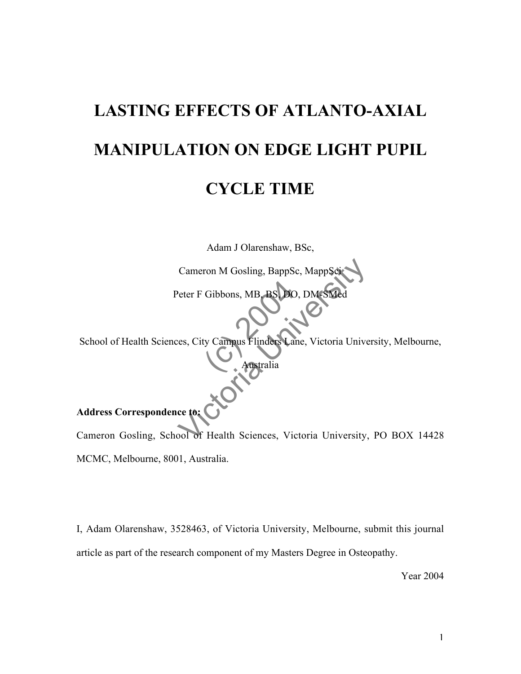# **LASTING EFFECTS OF ATLANTO-AXIAL MANIPULATION ON EDGE LIGHT PUPIL**

### **CYCLE TIME**

Adam J Olarenshaw, BSc,

Cameron M Gosling, BappSc, MappS

Gibbons, MB. BS. DC<br>ty Campus Flinders La<br>Australia Peter F Gibbons, MB, BS, DO, DM-SMed

School of Health Sciences, City Campus Flinders Lane, Victoria University, Melbourne,

Australia

### **Address Correspondence to:**

Cameron M Gosling, BappSc, MappSci<br>
Peter F Gibbons, MB, BS, DO, DM-SMed<br>
es, City Campus Flinders Cane, Victoria University,<br>
ce to:<br>
Cool of Health Sciences, Victoria University, Cameron Gosling, School of Health Sciences, Victoria University, PO BOX 14428 MCMC, Melbourne, 8001, Australia.

I, Adam Olarenshaw, 3528463, of Victoria University, Melbourne, submit this journal article as part of the research component of my Masters Degree in Osteopathy.

Year 2004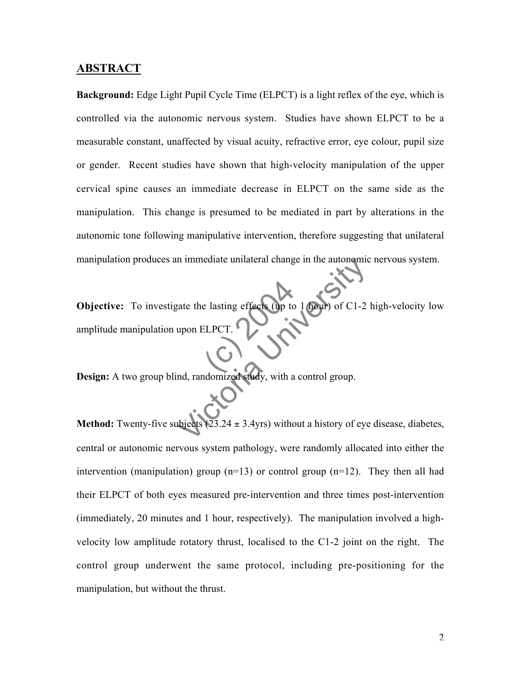### **ABSTRACT**

**Background:** Edge Light Pupil Cycle Time (ELPCT) is a light reflex of the eye, which is controlled via the autonomic nervous system. Studies have shown ELPCT to be a measurable constant, unaffected by visual acuity, refractive error, eye colour, pupil size or gender. Recent studies have shown that high-velocity manipulation of the upper cervical spine causes an immediate decrease in ELPCT on the same side as the manipulation. This change is presumed to be mediated in part by alterations in the autonomic tone following manipulative intervention, therefore suggesting that unilateral manipulation produces an immediate unilateral change in the autonomic nervous system.

ELPCT. The minimized study, with a control group.<br>
University of C1-2<br>
Upon ELPCT.<br>
Upon ELPCT.<br>
Upon SLPCT.<br>
Upon 2.3.24 ± 3.4yrs) without a history of eye **Objective:** To investigate the lasting effects (up to 1 hour) of C1-2 high-velocity low amplitude manipulation upon ELPCT.

**Design:** A two group blind, randomized study, with a control group.

**Method:** Twenty-five subjects  $(23.24 \pm 3.4yrs)$  without a history of eye disease, diabetes, central or autonomic nervous system pathology, were randomly allocated into either the intervention (manipulation) group  $(n=13)$  or control group  $(n=12)$ . They then all had their ELPCT of both eyes measured pre-intervention and three times post-intervention (immediately, 20 minutes and 1 hour, respectively). The manipulation involved a highvelocity low amplitude rotatory thrust, localised to the C1-2 joint on the right. The control group underwent the same protocol, including pre-positioning for the manipulation, but without the thrust.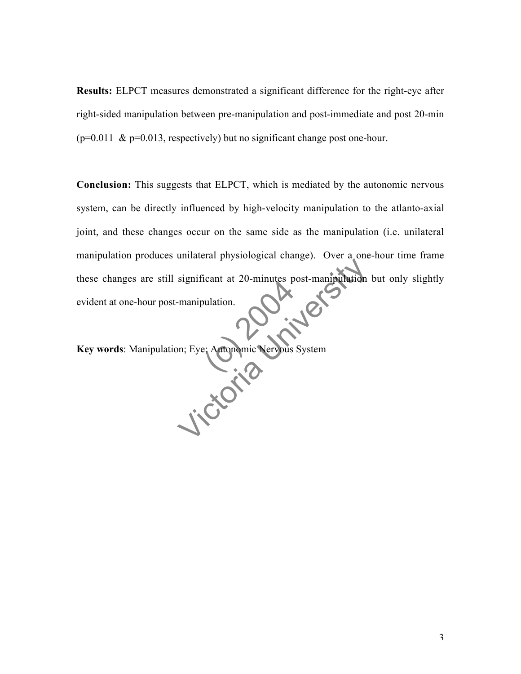**Results:** ELPCT measures demonstrated a significant difference for the right-eye after right-sided manipulation between pre-manipulation and post-immediate and post 20-min  $(p=0.011 \& p=0.013$ , respectively) but no significant change post one-hour.

eulation. Significant at 20-minutes post-manipulation<br>-manipulation.<br>Discrete: Antonomic Nervous System **Conclusion:** This suggests that ELPCT, which is mediated by the autonomic nervous system, can be directly influenced by high-velocity manipulation to the atlanto-axial joint, and these changes occur on the same side as the manipulation (i.e. unilateral manipulation produces unilateral physiological change). Over a one-hour time frame these changes are still significant at 20-minutes post-manipulation but only slightly<br>evident at one-hour post-manipulation. evident at one-hour post-manipulation.

**Key words**: Manipulation; Eye; Autonomic Nervous System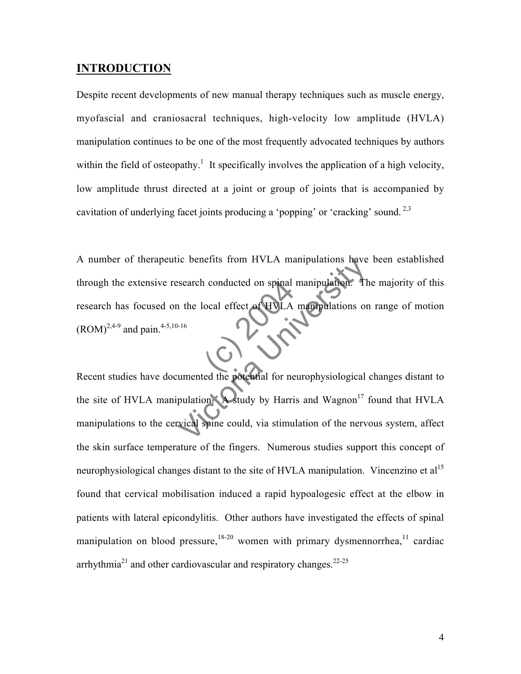### **INTRODUCTION**

Despite recent developments of new manual therapy techniques such as muscle energy, myofascial and craniosacral techniques, high-velocity low amplitude (HVLA) manipulation continues to be one of the most frequently advocated techniques by authors within the field of osteopathy.<sup>1</sup> It specifically involves the application of a high velocity, low amplitude thrust directed at a joint or group of joints that is accompanied by cavitation of underlying facet joints producing a 'popping' or 'cracking' sound. 2,3

conducted on spinal<br>ocal effect of HVLA The benefits from HVLA manipulation. The search conducted on spinal manipulation. The relation of the local effect of HVLA manipulations on the local effect of HVLA manipulations on the local spine could, via stimulation o A number of therapeutic benefits from HVLA manipulations have been established through the extensive research conducted on spinal manipulation. The majority of this research has focused on the local effect of HVLA manipulations on range of motion  $(ROM)^{2,4-9}$  and pain.<sup>4-5,10-16</sup>

Recent studies have documented the potential for neurophysiological changes distant to the site of HVLA manipulation. A study by Harris and Wagnon<sup>17</sup> found that HVLA manipulations to the cervical spine could, via stimulation of the nervous system, affect the skin surface temperature of the fingers. Numerous studies support this concept of neurophysiological changes distant to the site of HVLA manipulation. Vincenzino et al<sup>15</sup> found that cervical mobilisation induced a rapid hypoalogesic effect at the elbow in patients with lateral epicondylitis. Other authors have investigated the effects of spinal manipulation on blood pressure,  $18-20$  women with primary dysmennorrhea,  $11$  cardiac arrhythmia<sup>21</sup> and other cardiovascular and respiratory changes.<sup>22-25</sup>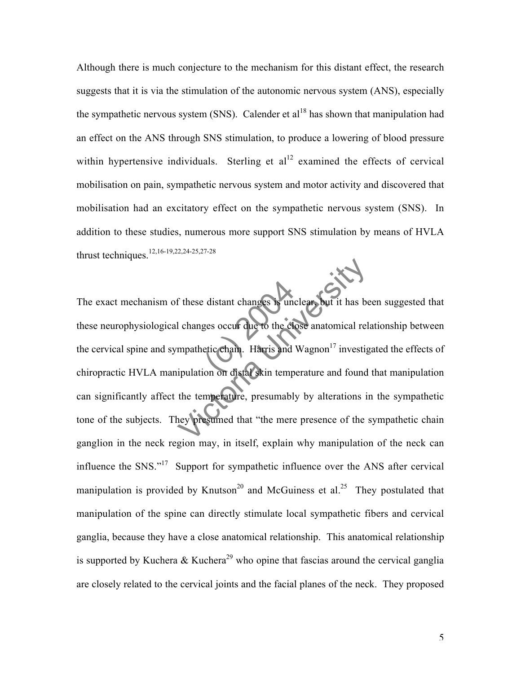Although there is much conjecture to the mechanism for this distant effect, the research suggests that it is via the stimulation of the autonomic nervous system (ANS), especially the sympathetic nervous system (SNS). Calender et  $al<sup>18</sup>$  has shown that manipulation had an effect on the ANS through SNS stimulation, to produce a lowering of blood pressure within hypertensive individuals. Sterling et  $al<sup>12</sup>$  examined the effects of cervical mobilisation on pain, sympathetic nervous system and motor activity and discovered that mobilisation had an excitatory effect on the sympathetic nervous system (SNS). In addition to these studies, numerous more support SNS stimulation by means of HVLA thrust techniques.12,16-19,22,24-25,27-28

distant changes is under<br>ges occur due to the changes occur due to the change<br>etic chain. Harris and<br>ion on distal skin temp These distant changes is unclear but it has be<br>a changes occur due to the close anatomical rel<br>mpathetic chain. Harris and Wagnon<sup>17</sup> investig<br>ipulation on distal skin temperature and found<br>the temperature, presumably by a The exact mechanism of these distant changes is unclear, but it has been suggested that these neurophysiological changes occur due to the close anatomical relationship between the cervical spine and sympathetic chain. Harris and Wagnon<sup>17</sup> investigated the effects of chiropractic HVLA manipulation on distal skin temperature and found that manipulation can significantly affect the temperature, presumably by alterations in the sympathetic tone of the subjects. They presumed that "the mere presence of the sympathetic chain ganglion in the neck region may, in itself, explain why manipulation of the neck can influence the SNS."17 Support for sympathetic influence over the ANS after cervical manipulation is provided by Knutson<sup>20</sup> and McGuiness et al.<sup>25</sup> They postulated that manipulation of the spine can directly stimulate local sympathetic fibers and cervical ganglia, because they have a close anatomical relationship. This anatomical relationship is supported by Kuchera & Kuchera<sup>29</sup> who opine that fascias around the cervical ganglia are closely related to the cervical joints and the facial planes of the neck. They proposed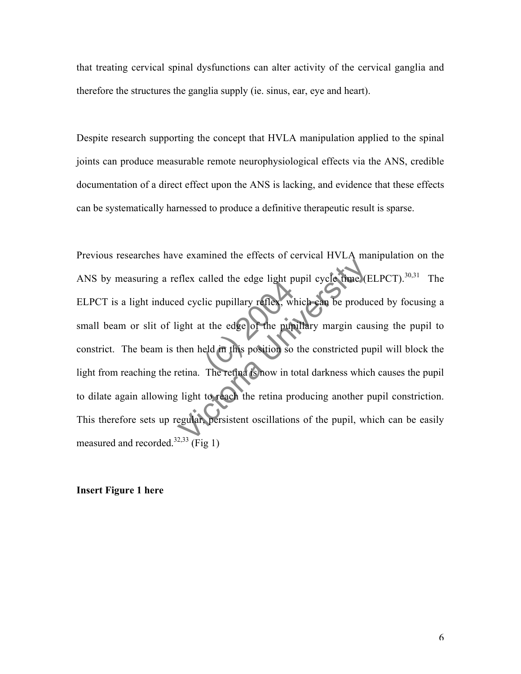that treating cervical spinal dysfunctions can alter activity of the cervical ganglia and therefore the structures the ganglia supply (ie. sinus, ear, eye and heart).

Despite research supporting the concept that HVLA manipulation applied to the spinal joints can produce measurable remote neurophysiological effects via the ANS, credible documentation of a direct effect upon the ANS is lacking, and evidence that these effects can be systematically harnessed to produce a definitive therapeutic result is sparse.

lic pupillary reflex, where<br>the edge of the pup<br>eld in this position so<br>The retina is now in to or shall the edge light pupil cycle time (<br>
Ed cyclic pupillary reflex, which can be produ<br>
ight at the edge of the pupillary margin cau<br>
then held in this position so the constricted pu<br>
etina. The retina is now in total Previous researches have examined the effects of cervical HVLA manipulation on the ANS by measuring a reflex called the edge light pupil cycle time (ELPCT).  $30,31$  The ELPCT is a light induced cyclic pupillary reflex, which can be produced by focusing a small beam or slit of light at the edge of the pupillary margin causing the pupil to constrict. The beam is then held in this position so the constricted pupil will block the light from reaching the retina. The retina is now in total darkness which causes the pupil to dilate again allowing light to reach the retina producing another pupil constriction. This therefore sets up regular, persistent oscillations of the pupil, which can be easily measured and recorded.<sup>32,33</sup> (Fig 1)

### **Insert Figure 1 here**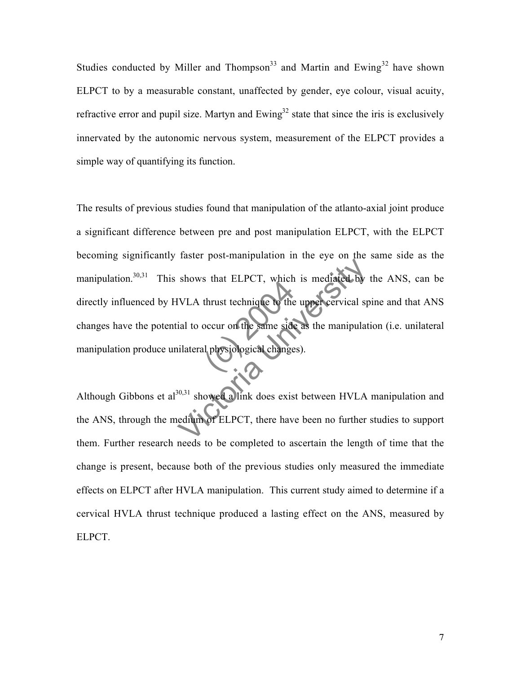Studies conducted by Miller and Thompson<sup>33</sup> and Martin and Ewing<sup>32</sup> have shown ELPCT to by a measurable constant, unaffected by gender, eye colour, visual acuity, refractive error and pupil size. Martyn and  $Ewing<sup>32</sup>$  state that since the iris is exclusively innervated by the autonomic nervous system, measurement of the ELPCT provides a simple way of quantifying its function.

thrust technique to the<br>occur on the same side<br>occur on the same side shows that ELPCT, which is mediated by<br>IVLA thrust technique to the uppercervical sp<br>ial to occur on the same side as the manipulat<br>illateral physiological changes).<br><sup>30,31</sup> showed a link does exist between HVLA<br>edium of E The results of previous studies found that manipulation of the atlanto-axial joint produce a significant difference between pre and post manipulation ELPCT, with the ELPCT becoming significantly faster post-manipulation in the eye on the same side as the manipulation.<sup>30,31</sup> This shows that ELPCT, which is mediated by the ANS, can be directly influenced by HVLA thrust technique to the upper cervical spine and that ANS changes have the potential to occur on the same side as the manipulation (i.e. unilateral manipulation produce unilateral physiological changes).

Although Gibbons et al<sup>30,31</sup> showed a link does exist between HVLA manipulation and the ANS, through the medium of ELPCT, there have been no further studies to support them. Further research needs to be completed to ascertain the length of time that the change is present, because both of the previous studies only measured the immediate effects on ELPCT after HVLA manipulation. This current study aimed to determine if a cervical HVLA thrust technique produced a lasting effect on the ANS, measured by ELPCT.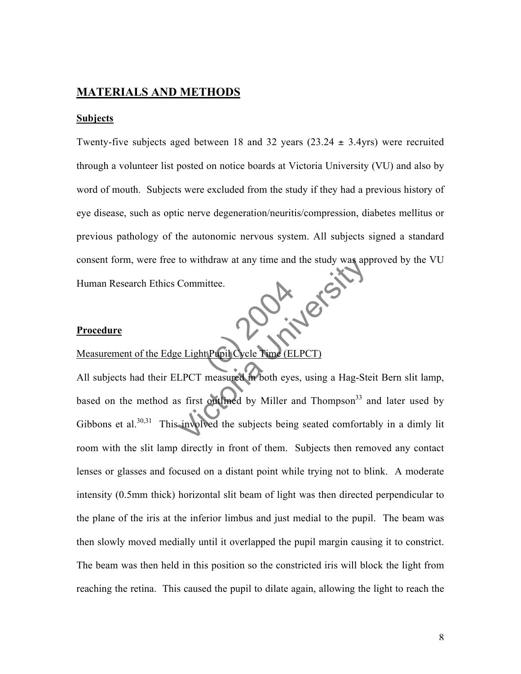### **MATERIALS AND METHODS**

### **Subjects**

tittee. Twenty-five subjects aged between 18 and 32 years  $(23.24 \pm 3.4)$ yrs) were recruited through a volunteer list posted on notice boards at Victoria University (VU) and also by word of mouth. Subjects were excluded from the study if they had a previous history of eye disease, such as optic nerve degeneration/neuritis/compression, diabetes mellitus or previous pathology of the autonomic nervous system. All subjects signed a standard consent form, were free to withdraw at any time and the study was approved by the VU Human Research Ethics Committee.

#### **Procedure**

### Measurement of the Edge Light Pupil Cycle Time (ELPCT)

France Committee.<br>
Committee.<br>
Committee.<br>
Light Pupil Cycle Time (ELPCT)<br>
LPCT measured in both eyes, using a Hag-Stes<br>
first onthed by Miller and Thompson<sup>33</sup> a<br>
unvolved the subjects being seated comforta All subjects had their ELPCT measured in both eyes, using a Hag-Steit Bern slit lamp, based on the method as first outlined by Miller and Thompson<sup>33</sup> and later used by Gibbons et al.<sup>30,31</sup> This involved the subjects being seated comfortably in a dimly lit room with the slit lamp directly in front of them. Subjects then removed any contact lenses or glasses and focused on a distant point while trying not to blink. A moderate intensity (0.5mm thick) horizontal slit beam of light was then directed perpendicular to the plane of the iris at the inferior limbus and just medial to the pupil. The beam was then slowly moved medially until it overlapped the pupil margin causing it to constrict. The beam was then held in this position so the constricted iris will block the light from reaching the retina. This caused the pupil to dilate again, allowing the light to reach the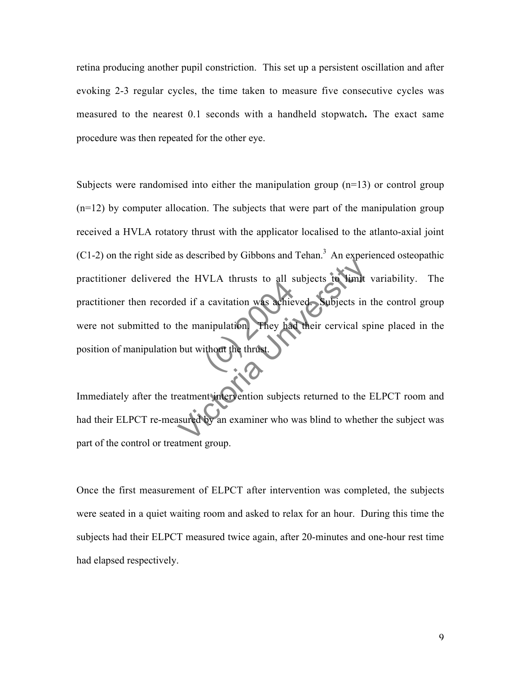retina producing another pupil constriction. This set up a persistent oscillation and after evoking 2-3 regular cycles, the time taken to measure five consecutive cycles was measured to the nearest 0.1 seconds with a handheld stopwatch**.** The exact same procedure was then repeated for the other eye.

The division of the same of the thrust. the HVLA thrusts to all subjects to limit<br>ed if a cavitation was achieved. Subjects in<br>the manipulation They had their cervical sp<br>but without the thrust. Subjects were randomised into either the manipulation group  $(n=13)$  or control group (n=12) by computer allocation. The subjects that were part of the manipulation group received a HVLA rotatory thrust with the applicator localised to the atlanto-axial joint  $(C1-2)$  on the right side as described by Gibbons and Tehan.<sup>3</sup> An experienced osteopathic practitioner delivered the HVLA thrusts to all subjects to limit variability. The practitioner then recorded if a cavitation was achieved. Subjects in the control group were not submitted to the manipulation. They had their cervical spine placed in the position of manipulation but without the thrust

Immediately after the treatment intervention subjects returned to the ELPCT room and had their ELPCT re-measured by an examiner who was blind to whether the subject was part of the control or treatment group.

Once the first measurement of ELPCT after intervention was completed, the subjects were seated in a quiet waiting room and asked to relax for an hour. During this time the subjects had their ELPCT measured twice again, after 20-minutes and one-hour rest time had elapsed respectively.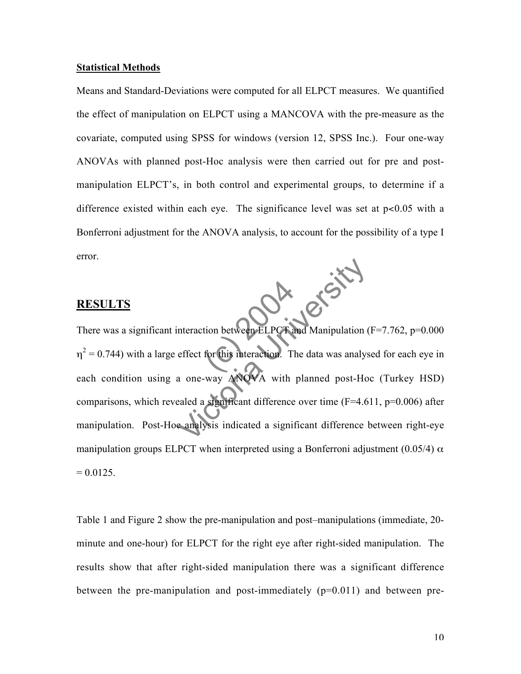### **Statistical Methods**

Means and Standard-Deviations were computed for all ELPCT measures. We quantified the effect of manipulation on ELPCT using a MANCOVA with the pre-measure as the covariate, computed using SPSS for windows (version 12, SPSS Inc.). Four one-way ANOVAs with planned post-Hoc analysis were then carried out for pre and postmanipulation ELPCT's, in both control and experimental groups, to determine if a difference existed within each eye. The significance level was set at  $p < 0.05$  with a Bonferroni adjustment for the ANOVA analysis, to account for the possibility of a type I error.

### **RESULTS**

tion between ELPCT Dix 18 First There was a significant interaction between ELPCT and Manipulation (F=7.762, p=0.000  $\eta^2$  = 0.744) with a large effect for this interaction. The data was analysed for each eye in each condition using a one-way ANOVA with planned post-Hoc (Turkey HSD) comparisons, which revealed a significant difference over time  $(F=4.611, p=0.006)$  after manipulation. Post-Hoc analysis indicated a significant difference between right-eye manipulation groups ELPCT when interpreted using a Bonferroni adjustment (0.05/4)  $\alpha$  $= 0.0125.$ 

Table 1 and Figure 2 show the pre-manipulation and post–manipulations (immediate, 20 minute and one-hour) for ELPCT for the right eye after right-sided manipulation. The results show that after right-sided manipulation there was a significant difference between the pre-manipulation and post-immediately  $(p=0.011)$  and between pre-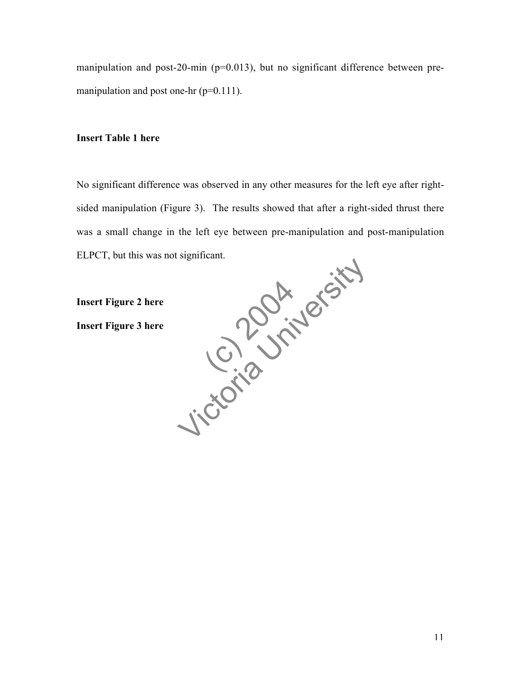manipulation and post-20-min (p=0.013), but no significant difference between premanipulation and post one-hr (p=0.111).

### **Insert Table 1 here**

No significant difference was observed in any other measures for the left eye after rightsided manipulation (Figure 3). The results showed that after a right-sided thrust there was a small change in the left eye between pre-manipulation and post-manipulation ELPCT, but this was not significant.

(c) 2012 Jicordan University **Insert Figure 2 here Insert Figure 3 here**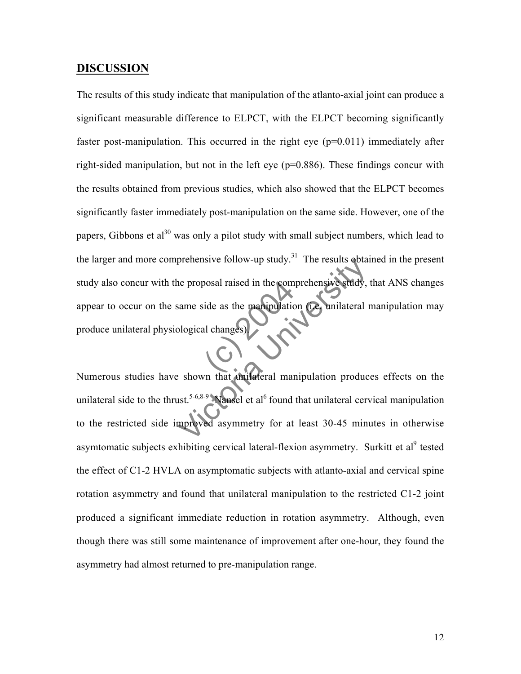### **DISCUSSION**

sosal raised in the com prenensive rollow-up study. The results obtained<br>the proposal raised in the comprehensive study,<br>same side as the manipulation (Le unilateral rollogical changes)<br>explored that the study of the study of the shown that the i The results of this study indicate that manipulation of the atlanto-axial joint can produce a significant measurable difference to ELPCT, with the ELPCT becoming significantly faster post-manipulation. This occurred in the right eye  $(p=0.011)$  immediately after right-sided manipulation, but not in the left eye (p=0.886). These findings concur with the results obtained from previous studies, which also showed that the ELPCT becomes significantly faster immediately post-manipulation on the same side. However, one of the papers. Gibbons et al<sup>30</sup> was only a pilot study with small subject numbers, which lead to the larger and more comprehensive follow-up study.<sup>31</sup> The results obtained in the present study also concur with the proposal raised in the comprehensive study, that ANS changes appear to occur on the same side as the manipulation (i.e. unilateral manipulation may produce unilateral physiological changes).

Numerous studies have shown that unilateral manipulation produces effects on the unilateral side to the thrust.<sup>5-6,8-9</sup> Nansel et al<sup>6</sup> found that unilateral cervical manipulation to the restricted side improved asymmetry for at least 30-45 minutes in otherwise asymtomatic subjects exhibiting cervical lateral-flexion asymmetry. Surkitt et al<sup>9</sup> tested the effect of C1-2 HVLA on asymptomatic subjects with atlanto-axial and cervical spine rotation asymmetry and found that unilateral manipulation to the restricted C1-2 joint produced a significant immediate reduction in rotation asymmetry. Although, even though there was still some maintenance of improvement after one-hour, they found the asymmetry had almost returned to pre-manipulation range.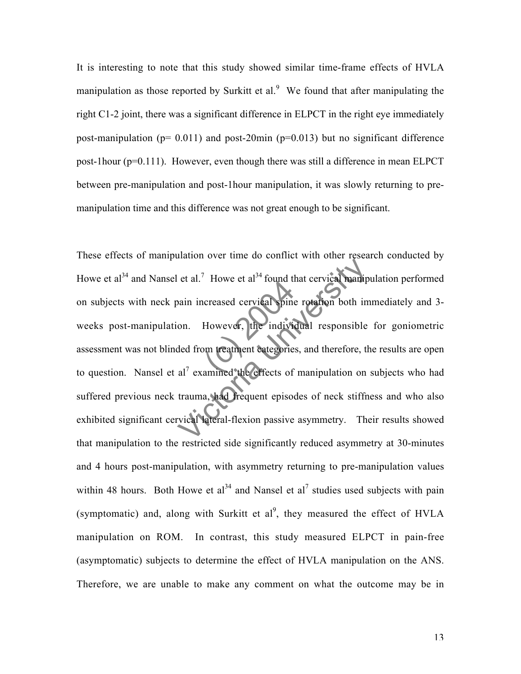It is interesting to note that this study showed similar time-frame effects of HVLA manipulation as those reported by Surkitt et al. $9$  We found that after manipulating the right C1-2 joint, there was a significant difference in ELPCT in the right eye immediately post-manipulation ( $p= 0.011$ ) and post-20min ( $p=0.013$ ) but no significant difference post-1hour (p=0.111). However, even though there was still a difference in mean ELPCT between pre-manipulation and post-1hour manipulation, it was slowly returning to premanipulation time and this difference was not great enough to be significant.

Thowe et al. Tound the creased cervical spine<br>However, the individual<br>property in the individual categorie<br>amined the effects of et al.<sup>7</sup> Howe et al<sup>34</sup> found that cervical manip<br>bain increased cervical spine rotation both im<br>on. However, the individual responsible<br>ded from treatment categories, and therefore, the<br>al<sup>7</sup> examined the effects of man These effects of manipulation over time do conflict with other research conducted by Howe et al<sup>34</sup> and Nansel et al.<sup>7</sup> Howe et al<sup>34</sup> found that cervical manipulation performed on subjects with neck pain increased cervical spine rotation both immediately and 3 weeks post-manipulation. However, the individual responsible for goniometric assessment was not blinded from treatment categories, and therefore, the results are open to question. Nansel et al<sup>7</sup> examined the effects of manipulation on subjects who had suffered previous neck trauma, had frequent episodes of neck stiffness and who also exhibited significant cervical lateral-flexion passive asymmetry. Their results showed that manipulation to the restricted side significantly reduced asymmetry at 30-minutes and 4 hours post-manipulation, with asymmetry returning to pre-manipulation values within 48 hours. Both Howe et al<sup>34</sup> and Nansel et al<sup>7</sup> studies used subjects with pain (symptomatic) and, along with Surkitt et  $al^9$ , they measured the effect of HVLA manipulation on ROM. In contrast, this study measured ELPCT in pain-free (asymptomatic) subjects to determine the effect of HVLA manipulation on the ANS. Therefore, we are unable to make any comment on what the outcome may be in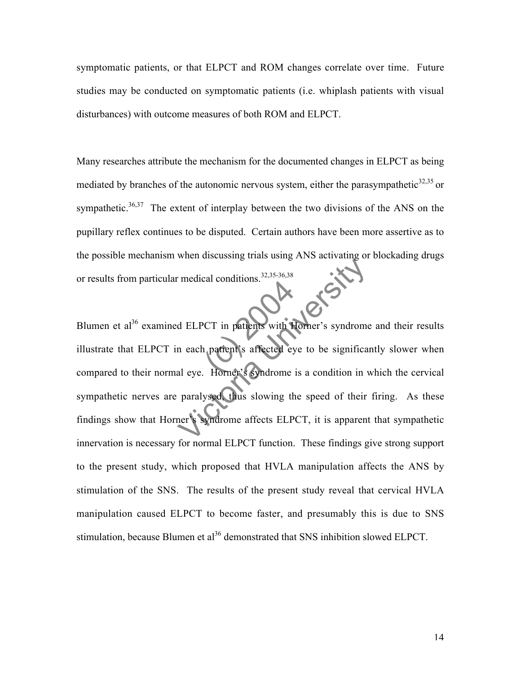symptomatic patients, or that ELPCT and ROM changes correlate over time. Future studies may be conducted on symptomatic patients (i.e. whiplash patients with visual disturbances) with outcome measures of both ROM and ELPCT.

Many researches attribute the mechanism for the documented changes in ELPCT as being mediated by branches of the autonomic nervous system, either the parasympathetic $32,35$  or sympathetic. $36,37$  The extent of interplay between the two divisions of the ANS on the pupillary reflex continues to be disputed. Certain authors have been more assertive as to the possible mechanism when discussing trials using ANS activating or blockading drugs or results from particular medical conditions.32,35-36,38

CT in patients with F The and and the anti-<br>
The anti-<br>
The anti-<br>
The anti-<br>
The anti-<br>
The anti-<br>
The anti-<br>
The anti-<br>
The anti-<br>
The anti-<br>
The anti-<br>
Syndrome is a condition in v<br>
paralysed, thus slowing the speed of their<br>
there is a cond Blumen et al<sup>36</sup> examined ELPCT in patients with Horner's syndrome and their results illustrate that ELPCT in each patient's affected eye to be significantly slower when compared to their normal eye. Horner's syndrome is a condition in which the cervical sympathetic nerves are paralysed, thus slowing the speed of their firing. As these findings show that Horner's syndrome affects ELPCT, it is apparent that sympathetic innervation is necessary for normal ELPCT function. These findings give strong support to the present study, which proposed that HVLA manipulation affects the ANS by stimulation of the SNS. The results of the present study reveal that cervical HVLA manipulation caused ELPCT to become faster, and presumably this is due to SNS stimulation, because Blumen et al<sup>36</sup> demonstrated that SNS inhibition slowed ELPCT.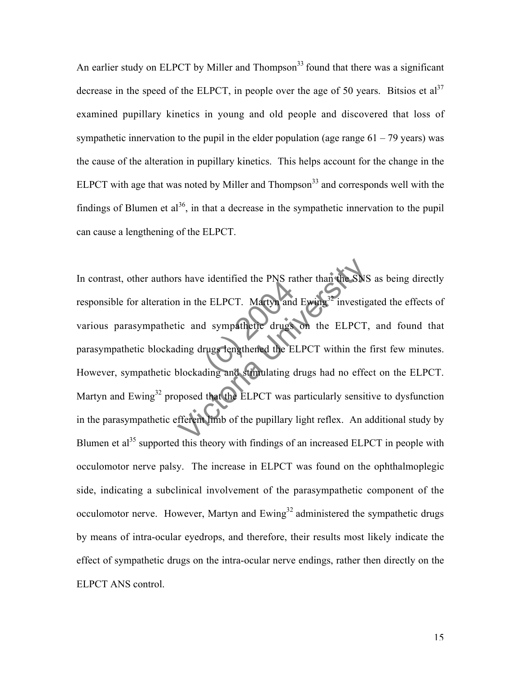An earlier study on ELPCT by Miller and Thompson<sup>33</sup> found that there was a significant decrease in the speed of the ELPCT, in people over the age of 50 years. Bitsios et  $al<sup>37</sup>$ examined pupillary kinetics in young and old people and discovered that loss of sympathetic innervation to the pupil in the elder population (age range  $61 - 79$  years) was the cause of the alteration in pupillary kinetics. This helps account for the change in the ELPCT with age that was noted by Miller and Thompson $33$  and corresponds well with the findings of Blumen et  $al^{36}$ , in that a decrease in the sympathetic innervation to the pupil can cause a lengthening of the ELPCT.

e ELPCT. Martyn and<br>d sympathetic drugs<br>rugs tengthened the E<br>ding and stimulating Solution and External The SNS<br>
in the ELPCT. Martyn and External The SNS<br>
ic and sympathetic drugs on the ELPCT,<br>
ding drugs lengthened the ELPCT within the<br>
blockading and stimulating drugs had no effect<br>
posed that the E In contrast, other authors have identified the PNS rather than the SNS as being directly responsible for alteration in the ELPCT. Martyn and Ewing<sup>32</sup> investigated the effects of various parasympathetic and sympathetic drugs on the ELPCT, and found that parasympathetic blockading drugs lengthened the ELPCT within the first few minutes. However, sympathetic blockading and stimulating drugs had no effect on the ELPCT. Martyn and Ewing<sup>32</sup> proposed that the ELPCT was particularly sensitive to dysfunction in the parasympathetic efferent limb of the pupillary light reflex. An additional study by Blumen et  $a^{35}$  supported this theory with findings of an increased ELPCT in people with occulomotor nerve palsy. The increase in ELPCT was found on the ophthalmoplegic side, indicating a subclinical involvement of the parasympathetic component of the occulomotor nerve. However, Martyn and  $Ewing<sup>32</sup>$  administered the sympathetic drugs by means of intra-ocular eyedrops, and therefore, their results most likely indicate the effect of sympathetic drugs on the intra-ocular nerve endings, rather then directly on the ELPCT ANS control.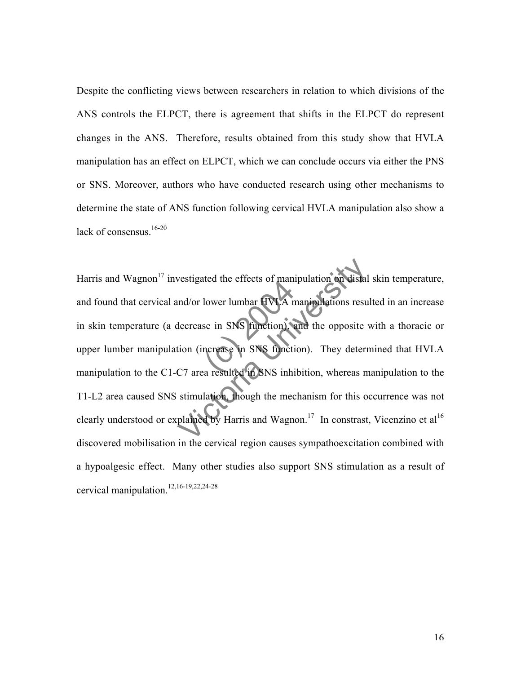Despite the conflicting views between researchers in relation to which divisions of the ANS controls the ELPCT, there is agreement that shifts in the ELPCT do represent changes in the ANS. Therefore, results obtained from this study show that HVLA manipulation has an effect on ELPCT, which we can conclude occurs via either the PNS or SNS. Moreover, authors who have conducted research using other mechanisms to determine the state of ANS function following cervical HVLA manipulation also show a lack of consensus. $16-20$ 

lower lumbar HVLA<br>se in SNS function),<br>ncrease in SNS function<br>a resulted in SNS inhi vestigated the effects of manipulation on distal<br>
und/or lower lumbar HVLA manipulations resu<br>
decrease in SNS function) and the opposite v<br>
tion (increase in SNS function). They detern<br>
C7 area resulted in SNS inhibition, Harris and Wagnon<sup>17</sup> investigated the effects of manipulation on distal skin temperature, and found that cervical and/or lower lumbar HVLA manipulations resulted in an increase in skin temperature (a decrease in SNS function), and the opposite with a thoracic or upper lumber manipulation (increase in SNS function). They determined that HVLA manipulation to the C1-C7 area resulted in SNS inhibition, whereas manipulation to the T1-L2 area caused SNS stimulation, though the mechanism for this occurrence was not clearly understood or explained by Harris and Wagnon.<sup>17</sup> In constrast, Vicenzino et al<sup>16</sup> discovered mobilisation in the cervical region causes sympathoexcitation combined with a hypoalgesic effect. Many other studies also support SNS stimulation as a result of cervical manipulation.12,16-19,22,24-28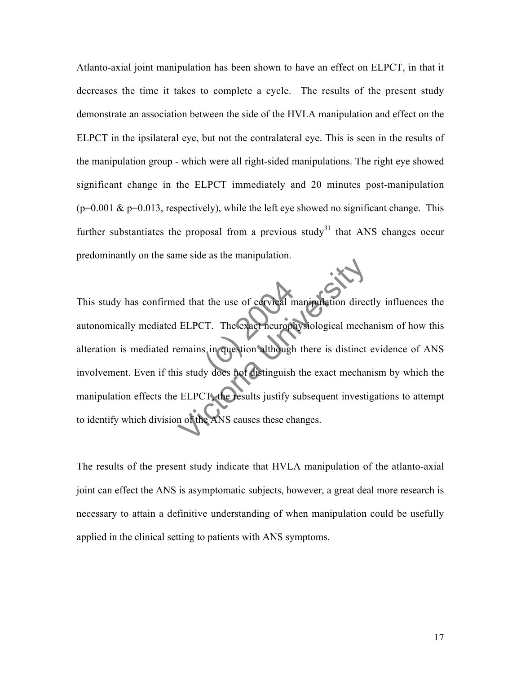Atlanto-axial joint manipulation has been shown to have an effect on ELPCT, in that it decreases the time it takes to complete a cycle. The results of the present study demonstrate an association between the side of the HVLA manipulation and effect on the ELPCT in the ipsilateral eye, but not the contralateral eye. This is seen in the results of the manipulation group - which were all right-sided manipulations. The right eye showed significant change in the ELPCT immediately and 20 minutes post-manipulation  $(p=0.001 \& p=0.013$ , respectively), while the left eye showed no significant change. This further substantiates the proposal from a previous study<sup>31</sup> that ANS changes occur predominantly on the same side as the manipulation.

t the use of cervical not<br>
CT. The exact neurophy<br>
S. in question although<br>
Not distinguish ELPCT. The exact neurophysiological mechanism in question although there is distinct<br>is study does not distinguish the exact mechanism in question although there is distinct<br>ELPCT, the results justify subsequent investion This study has confirmed that the use of cervical manipulation directly influences the autonomically mediated ELPCT. The exact neurophysiological mechanism of how this alteration is mediated remains in question although there is distinct evidence of ANS involvement. Even if this study does not distinguish the exact mechanism by which the manipulation effects the ELPCT, the results justify subsequent investigations to attempt to identify which division of the ANS causes these changes.

The results of the present study indicate that HVLA manipulation of the atlanto-axial joint can effect the ANS is asymptomatic subjects, however, a great deal more research is necessary to attain a definitive understanding of when manipulation could be usefully applied in the clinical setting to patients with ANS symptoms.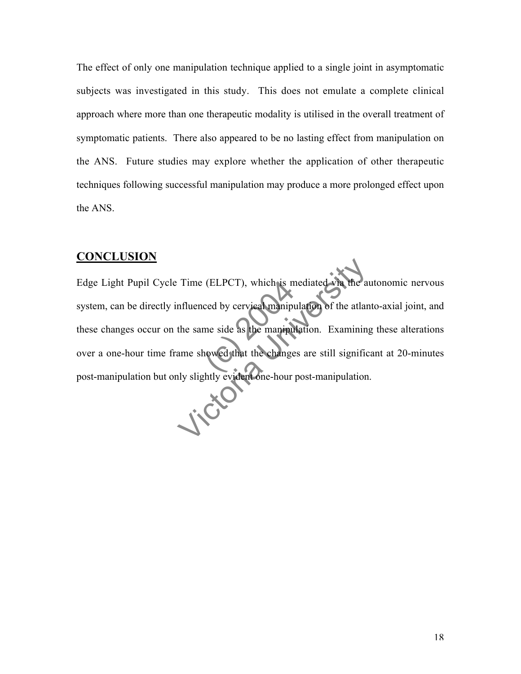The effect of only one manipulation technique applied to a single joint in asymptomatic subjects was investigated in this study. This does not emulate a complete clinical approach where more than one therapeutic modality is utilised in the overall treatment of symptomatic patients. There also appeared to be no lasting effect from manipulation on the ANS. Future studies may explore whether the application of other therapeutic techniques following successful manipulation may produce a more prolonged effect upon the ANS.

### **CONCLUSION**

(ELPCT), which is m<br>ced by cervical manipum<br>me side as the manipum Time (ELPCT), which is mediated with the automorphical properties and the same side as the manipulation. Examining ame showed that the changes are still significally slightly evident one-hour post-manipulation Edge Light Pupil Cycle Time (ELPCT), which is mediated via the autonomic nervous system, can be directly influenced by cervical manipulation of the atlanto-axial joint, and these changes occur on the same side as the manipulation. Examining these alterations over a one-hour time frame showed that the changes are still significant at 20-minutes post-manipulation but only slightly evident one-hour post-manipulation.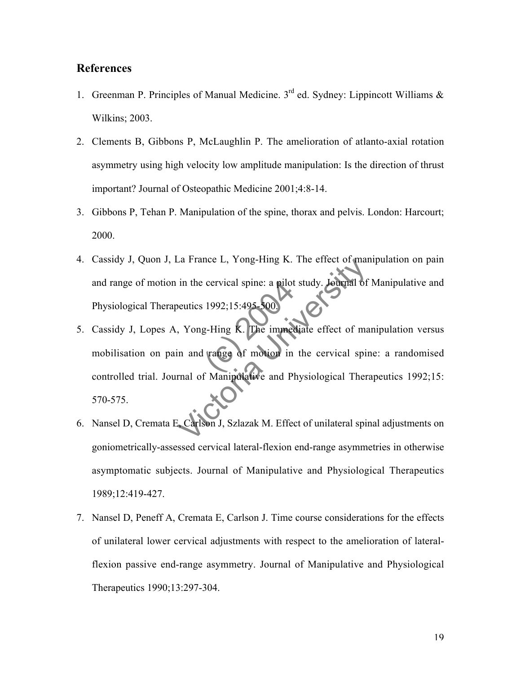### **References**

- 1. Greenman P. Principles of Manual Medicine.  $3<sup>rd</sup>$  ed. Sydney: Lippincott Williams  $\&$ Wilkins; 2003.
- 2. Clements B, Gibbons P, McLaughlin P. The amelioration of atlanto-axial rotation asymmetry using high velocity low amplitude manipulation: Is the direction of thrust important? Journal of Osteopathic Medicine 2001;4:8-14.
- 3. Gibbons P, Tehan P. Manipulation of the spine, thorax and pelvis. London: Harcourt; 2000.
- 4. Cassidy J, Quon J, La France L, Yong-Hing K. The effect of manipulation on pain and range of motion in the cervical spine: a pilot study. Journal of Manipulative and Physiological Therapeutics 1992;15:495-500.
- cervical spine: a pilot<br>1992;15:495-500.<br>g-Hing K. The immed<br>trange of motion in The France L, Yong-Hing K. The effect of market in the cervical spine: a pilot study. Journal of<br>
beutics 1992;15:495-500<br>
The immediate effect of market in and range of motion in the cervical spin<br>
rmal of Manipulative an 5. Cassidy J, Lopes A, Yong-Hing K. The immediate effect of manipulation versus mobilisation on pain and range of motion in the cervical spine: a randomised controlled trial. Journal of Manipulative and Physiological Therapeutics 1992;15: 570-575.
- 6. Nansel D, Cremata E, Carlson J, Szlazak M. Effect of unilateral spinal adjustments on goniometrically-assessed cervical lateral-flexion end-range asymmetries in otherwise asymptomatic subjects. Journal of Manipulative and Physiological Therapeutics 1989;12:419-427.
- 7. Nansel D, Peneff A, Cremata E, Carlson J. Time course considerations for the effects of unilateral lower cervical adjustments with respect to the amelioration of lateralflexion passive end-range asymmetry. Journal of Manipulative and Physiological Therapeutics 1990;13:297-304.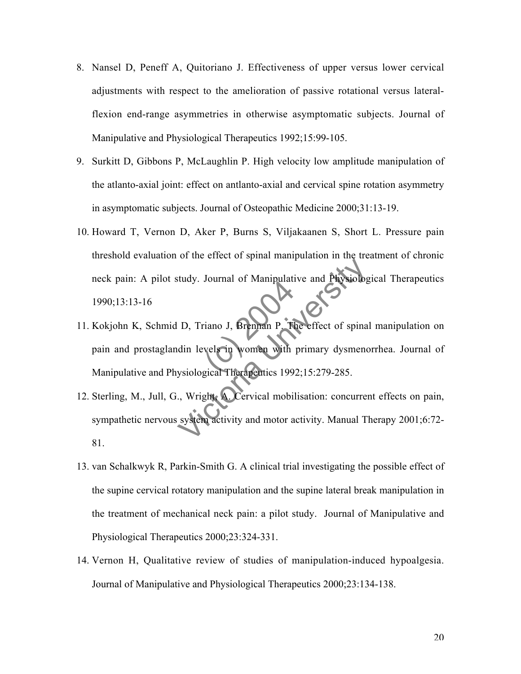- 8. Nansel D, Peneff A, Quitoriano J. Effectiveness of upper versus lower cervical adjustments with respect to the amelioration of passive rotational versus lateralflexion end-range asymmetries in otherwise asymptomatic subjects. Journal of Manipulative and Physiological Therapeutics 1992;15:99-105.
- 9. Surkitt D, Gibbons P, McLaughlin P. High velocity low amplitude manipulation of the atlanto-axial joint: effect on antlanto-axial and cervical spine rotation asymmetry in asymptomatic subjects. Journal of Osteopathic Medicine 2000;31:13-19.
- 10. Howard T, Vernon D, Aker P, Burns S, Viljakaanen S, Short L. Pressure pain threshold evaluation of the effect of spinal manipulation in the treatment of chronic neck pain: A pilot study. Journal of Manipulative and Physiological Therapeutics 1990;13:13-16
- Francourt of Manipual<br>Triano J, Brennan P. Ti<br>Vels in Women with<br>gical Therapeutics 199 Study. Journal of Manipulative and Physiolog<br>
U. D. Triano J. Brennan P. The effect of spinal<br>
din levels in women with primary dysmeno<br>
ysiological Therapentics 1992;15:279-285.<br>
.., Wright: A. Cervical mobilisation: conc 11. Kokjohn K, Schmid D, Triano J, Brennan P. The effect of spinal manipulation on pain and prostaglandin levels in women with primary dysmenorrhea. Journal of Manipulative and Physiological Therapeutics 1992;15:279-285.
- 12. Sterling, M., Jull, G., Wright, A. Cervical mobilisation: concurrent effects on pain, sympathetic nervous system activity and motor activity. Manual Therapy 2001;6:72- 81.
- 13. van Schalkwyk R, Parkin-Smith G. A clinical trial investigating the possible effect of the supine cervical rotatory manipulation and the supine lateral break manipulation in the treatment of mechanical neck pain: a pilot study. Journal of Manipulative and Physiological Therapeutics 2000;23:324-331.
- 14. Vernon H, Qualitative review of studies of manipulation-induced hypoalgesia. Journal of Manipulative and Physiological Therapeutics 2000;23:134-138.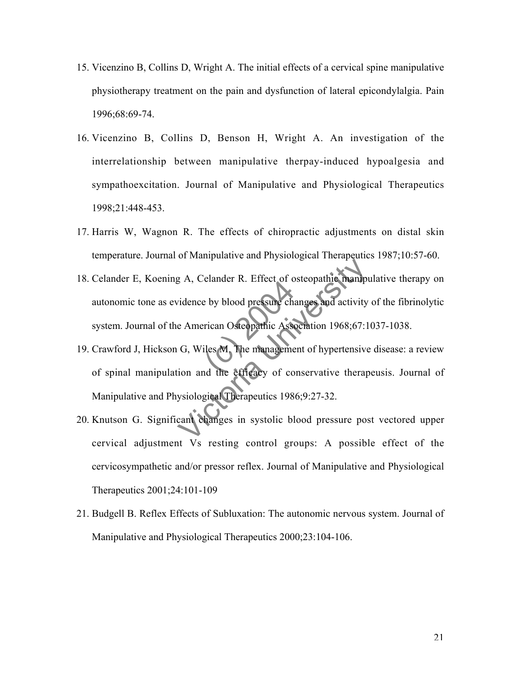- 15. Vicenzino B, Collins D, Wright A. The initial effects of a cervical spine manipulative physiotherapy treatment on the pain and dysfunction of lateral epicondylalgia. Pain 1996;68:69-74.
- 16. Vicenzino B, Collins D, Benson H, Wright A. An investigation of the interrelationship between manipulative therpay-induced hypoalgesia and sympathoexcitation. Journal of Manipulative and Physiological Therapeutics 1998;21:448-453.
- 17. Harris W, Wagnon R. The effects of chiropractic adjustments on distal skin temperature. Journal of Manipulative and Physiological Therapeutics 1987;10:57-60.
- e by blood pressure change of the street of departure change of the management of the efficacy of co 18. Celander E, Koening A, Celander R. Effect of osteopathic manipulative therapy on autonomic tone as evidence by blood pressure changes and activity of the fibrinolytic system. Journal of the American Osteopathic Association 1968;67:1037-1038.
- B. A., Celander R. Effect of osteopathic manipudes<br>idence by blood pressure changes and activity<br>e American Osteopathic Association 1968;67:1<br>G. Wiles M. The management of hypertensive<br>ion and the effect of conservative th 19. Crawford J, Hickson G, Wiles M. The management of hypertensive disease: a review of spinal manipulation and the efficacy of conservative therapeusis. Journal of Manipulative and Physiological Therapeutics 1986;9:27-32.
- 20. Knutson G. Significant changes in systolic blood pressure post vectored upper cervical adjustment Vs resting control groups: A possible effect of the cervicosympathetic and/or pressor reflex. Journal of Manipulative and Physiological Therapeutics 2001;24:101-109
- 21. Budgell B. Reflex Effects of Subluxation: The autonomic nervous system. Journal of Manipulative and Physiological Therapeutics 2000;23:104-106.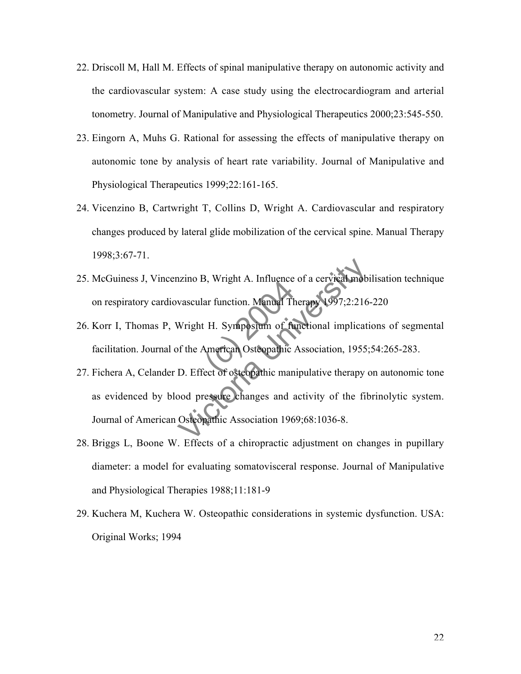- 22. Driscoll M, Hall M. Effects of spinal manipulative therapy on autonomic activity and the cardiovascular system: A case study using the electrocardiogram and arterial tonometry. Journal of Manipulative and Physiological Therapeutics 2000;23:545-550.
- 23. Eingorn A, Muhs G. Rational for assessing the effects of manipulative therapy on autonomic tone by analysis of heart rate variability. Journal of Manipulative and Physiological Therapeutics 1999;22:161-165.
- 24. Vicenzino B, Cartwright T, Collins D, Wright A. Cardiovascular and respiratory changes produced by lateral glide mobilization of the cervical spine. Manual Therapy 1998;3:67-71.
- 25. McGuiness J, Vincenzino B, Wright A. Influence of a cervical mobilisation technique on respiratory cardiovascular function. Manual Therapy 1997;2:216-220
- S, Wright A. Innuence<br>ar function. Manual The<br>H. Expression of function<br>American Osteopathic<br>cet of osteopathic man 26. Korr I, Thomas P, Wright H. Symposium of functional implications of segmental facilitation. Journal of the American Osteopathic Association, 1955;54:265-283.
- nzino B, Wright A. Influence of a cervical mob-<br>vascular function. Manual Therapy 1997;2:216<br>Wright H. Symposium of functional implication<br>of the American Osteopathic Association, 1955;<br>D. Effect of osteopathic manipulativ 27. Fichera A, Celander D. Effect of osteopathic manipulative therapy on autonomic tone as evidenced by blood pressure changes and activity of the fibrinolytic system. Journal of American Osteopathic Association 1969;68:1036-8.
- 28. Briggs L, Boone W. Effects of a chiropractic adjustment on changes in pupillary diameter: a model for evaluating somatovisceral response. Journal of Manipulative and Physiological Therapies 1988;11:181-9
- 29. Kuchera M, Kuchera W. Osteopathic considerations in systemic dysfunction. USA: Original Works; 1994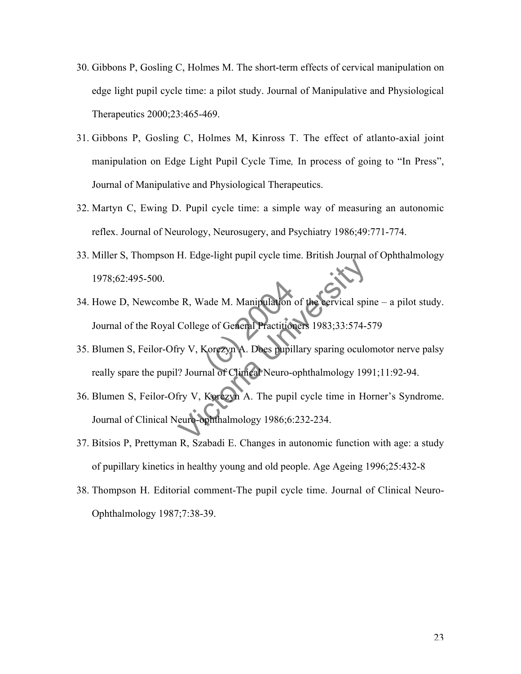- 30. Gibbons P, Gosling C, Holmes M. The short-term effects of cervical manipulation on edge light pupil cycle time: a pilot study. Journal of Manipulative and Physiological Therapeutics 2000;23:465-469.
- 31. Gibbons P, Gosling C, Holmes M, Kinross T. The effect of atlanto-axial joint manipulation on Edge Light Pupil Cycle Time*,* In process of going to "In Press", Journal of Manipulative and Physiological Therapeutics.
- 32. Martyn C, Ewing D. Pupil cycle time: a simple way of measuring an autonomic reflex. Journal of Neurology, Neurosugery, and Psychiatry 1986;49:771-774.
- 33. Miller S, Thompson H. Edge-light pupil cycle time. British Journal of Ophthalmology 1978;62:495-500.
- ade M. Manipulation<br>Se of General Practition<br>Corezyn A. Does pupil<br>nal of Clinical Neuro-c PR, Wade M. Manipulation of the cervical spice of General Practitioners 1983;33:574-5<br>
EV V, Korezyn A. Does pupillary sparing oculo<br>
2 Journal of Climeal Neuro-ophthalmology 199<br>
fry V, Korezyn A. The pupil cycle time in 34. Howe D, Newcombe R, Wade M. Manipulation of the cervical spine – a pilot study. Journal of the Royal College of General Practitioners 1983;33:574-579
- 35. Blumen S, Feilor-Ofry V, Korczyn A. Does pupillary sparing oculomotor nerve palsy really spare the pupil? Journal of Clinical Neuro-ophthalmology 1991;11:92-94.
- 36. Blumen S, Feilor-Ofry V, Korczyn A. The pupil cycle time in Horner's Syndrome. Journal of Clinical Neuro-ophthalmology 1986;6:232-234.
- 37. Bitsios P, Prettyman R, Szabadi E. Changes in autonomic function with age: a study of pupillary kinetics in healthy young and old people. Age Ageing 1996;25:432-8
- 38. Thompson H. Editorial comment-The pupil cycle time. Journal of Clinical Neuro-Ophthalmology 1987;7:38-39.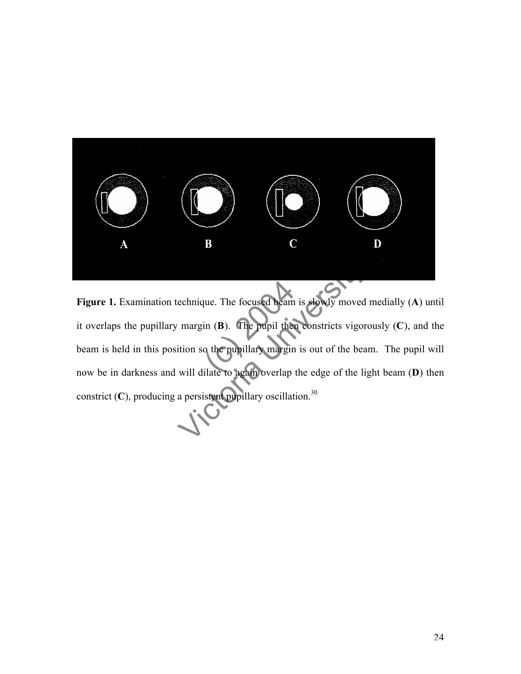

que. The focused beam<br>in (B). The pupil then<br>o the pupillary margin<br>ilate to again overlap echnique. The focused beam is stowly moved<br>margin (B). The pupil then constricts vigore<br>ition so the pupillary margin is out of the beam<br>will dilate to again overlap the edge of the lig<br>a persistent pupillary oscillation.<sup></sup> **Figure 1.** Examination technique. The focused beam is slowly moved medially (**A**) until it overlaps the pupillary margin (**B**). The pupil then constricts vigorously (**C**), and the beam is held in this position so the pupillary margin is out of the beam. The pupil will now be in darkness and will dilate to again overlap the edge of the light beam (**D**) then constrict (C), producing a persistent pupillary oscillation.<sup>30</sup>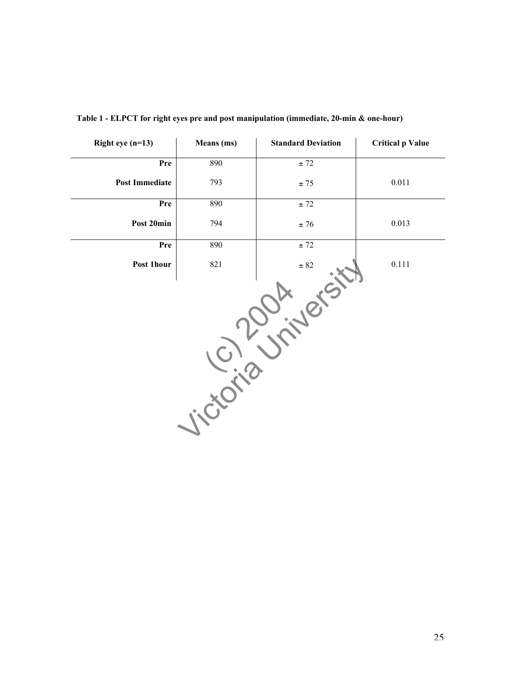| Right eye $(n=13)$    | Means (ms) | <b>Standard Deviation</b> | <b>Critical p Value</b> |  |
|-----------------------|------------|---------------------------|-------------------------|--|
| Pre                   | 890        | ± 72                      |                         |  |
| <b>Post Immediate</b> | 793        | $\pm$ 75                  | $0.011\,$               |  |
| Pre                   | 890        | ± 72                      |                         |  |
| Post 20min            | 794        | $\pm~76$                  | 0.013                   |  |
| Pre                   | 890        | $\pm$ 72                  |                         |  |
| Post 1hour            | 821        | $\pm$ 82                  | $0.111\,$               |  |
|                       |            |                           |                         |  |

**Table 1 - ELPCT for right eyes pre and post manipulation (immediate, 20-min & one-hour)**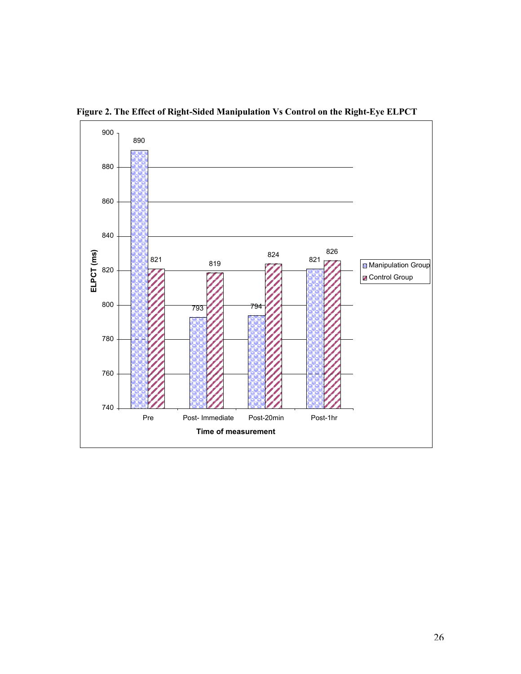

**Figure 2. The Effect of Right-Sided Manipulation Vs Control on the Right-Eye ELPCT**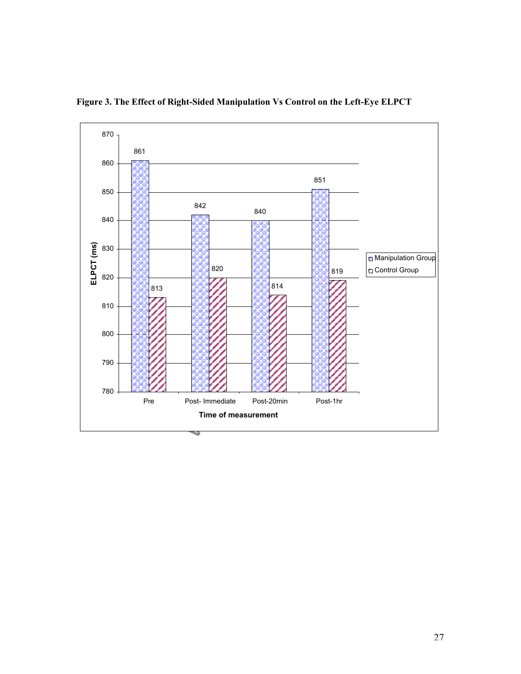

**Figure 3. The Effect of Right-Sided Manipulation Vs Control on the Left-Eye ELPCT**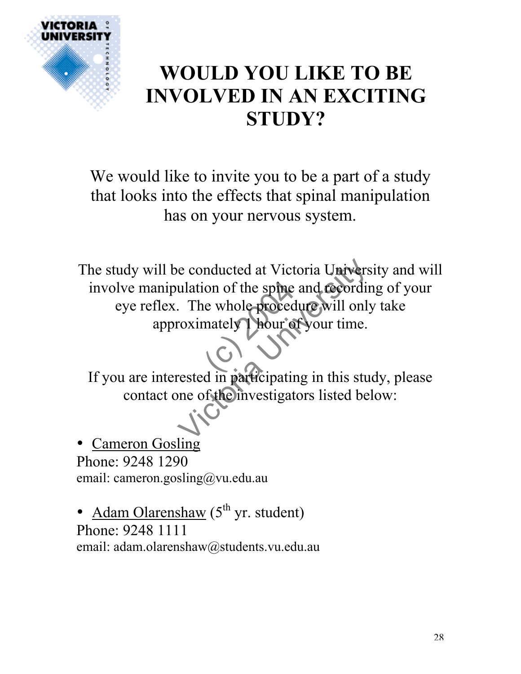

## **WOULD YOU LIKE TO BE INVOLVED IN AN EXCITING STUDY?**

We would like to invite you to be a part of a study that looks into the effects that spinal manipulation has on your nervous system.

(on of the spine<br>
le whole proces e conducted at Victoria Univers<br>
ulation of the spine and recordin<br>
The whole procedure will only<br>
roximately Hour of your time.<br>
rested in participating in this studence of the investigators listed be The study will be conducted at Victoria University and will involve manipulation of the spine and recording of your eye reflex. The whole procedure will only take approximately 1 hour of your time.

If you are interested in participating in this study, please contact one of the investigators listed below:

• Cameron Gosling Phone: 9248 1290 email: cameron.gosling@vu.edu.au

• <u>Adam Olarenshaw</u> ( $5^{th}$  yr. student) Phone: 9248 1111 email: adam.olarenshaw@students.vu.edu.au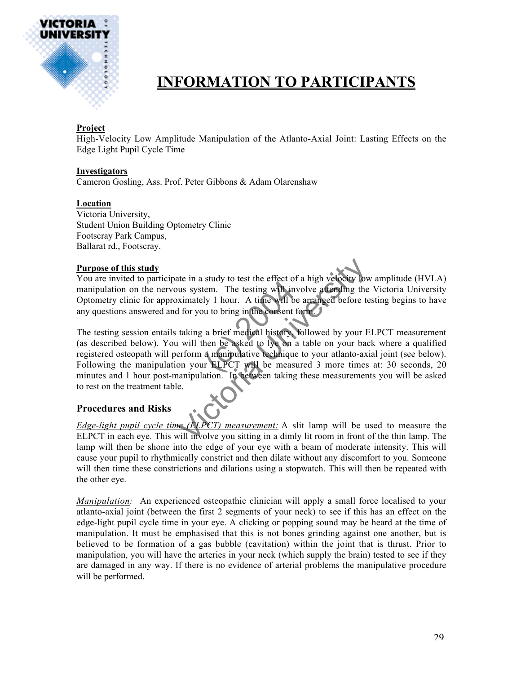

### **INFORMATION TO PARTICIPANTS**

### **Project**

High-Velocity Low Amplitude Manipulation of the Atlanto-Axial Joint: Lasting Effects on the Edge Light Pupil Cycle Time

### **Investigators**

Cameron Gosling, Ass. Prof. Peter Gibbons & Adam Olarenshaw

### **Location**

Victoria University, Student Union Building Optometry Clinic Footscray Park Campus, Ballarat rd., Footscray.

### **Purpose of this study**

You are invited to participate in a study to test the effect of a high velocity low amplitude (HVLA) manipulation on the nervous system. The testing will involve attending the Victoria University Optometry clinic for approximately 1 hour. A time will be arranged before testing begins to have any questions answered and for you to bring in the consent form.

stady to test the entert of<br>tem. The testing will in<br>ly 1 hour. A time will b<br>a brief medical history.<br>a brief medical history.<br>then be asked to lye on<br>a manipulative technique<br>or ELPCT will be meas the in a study to test the effect of a high velocity low<br>the system. The testing will involve a tending the<br>ximately 1 hour. A time will be arranged before to<br>if or you to bring in the consent form.<br>taking a brief medical The testing session entails taking a brief medical history, followed by your ELPCT measurement (as described below). You will then be asked to lye on a table on your back where a qualified registered osteopath will perform a manipulative technique to your atlanto-axial joint (see below). Following the manipulation your ELPCT will be measured 3 more times at: 30 seconds, 20 minutes and 1 hour post-manipulation. In between taking these measurements you will be asked to rest on the treatment table.

### **Procedures and Risks**

*Edge-light pupil cycle time (ELPCT) measurement:* A slit lamp will be used to measure the ELPCT in each eye. This will involve you sitting in a dimly lit room in front of the thin lamp. The lamp will then be shone into the edge of your eye with a beam of moderate intensity. This will cause your pupil to rhythmically constrict and then dilate without any discomfort to you. Someone will then time these constrictions and dilations using a stopwatch. This will then be repeated with the other eye.

*Manipulation:* An experienced osteopathic clinician will apply a small force localised to your atlanto-axial joint (between the first 2 segments of your neck) to see if this has an effect on the edge-light pupil cycle time in your eye. A clicking or popping sound may be heard at the time of manipulation. It must be emphasised that this is not bones grinding against one another, but is believed to be formation of a gas bubble (cavitation) within the joint that is thrust. Prior to manipulation, you will have the arteries in your neck (which supply the brain) tested to see if they are damaged in any way. If there is no evidence of arterial problems the manipulative procedure will be performed.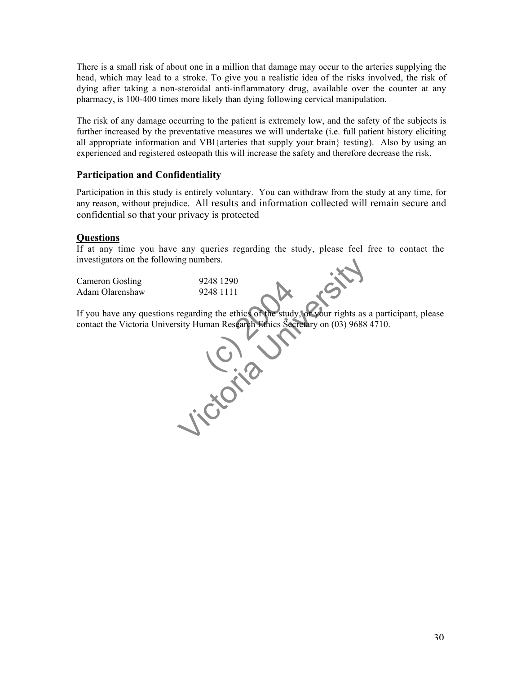There is a small risk of about one in a million that damage may occur to the arteries supplying the head, which may lead to a stroke. To give you a realistic idea of the risks involved, the risk of dying after taking a non-steroidal anti-inflammatory drug, available over the counter at any pharmacy, is 100-400 times more likely than dying following cervical manipulation.

The risk of any damage occurring to the patient is extremely low, and the safety of the subjects is further increased by the preventative measures we will undertake (i.e. full patient history eliciting all appropriate information and VBI{arteries that supply your brain} testing). Also by using an experienced and registered osteopath this will increase the safety and therefore decrease the risk.

### **Participation and Confidentiality**

Participation in this study is entirely voluntary. You can withdraw from the study at any time, for any reason, without prejudice. All results and information collected will remain secure and confidential so that your privacy is protected

### **Questions**

If at any time you have any queries regarding the study, please feel free to contact the investigators on the following numbers.

| Cameron Gosling | 9248 1290 |
|-----------------|-----------|
| Adam Olarenshaw | 9248 1111 |

If you have any questions regarding the ethics of the study, or your rights as a participant, please contact the Victoria University Human Research Ethics Secretary on (03) 9688 4710.

248 1290<br>
248 1111<br>
ng the ethics of the study<br>
man Research Ethics Sec mg numbers.<br>
9248 1290<br>
9248 1111<br>
regarding the ethics of the study, or your rights as a<br>
sity Human Research Ethics Secretary on (03) 9688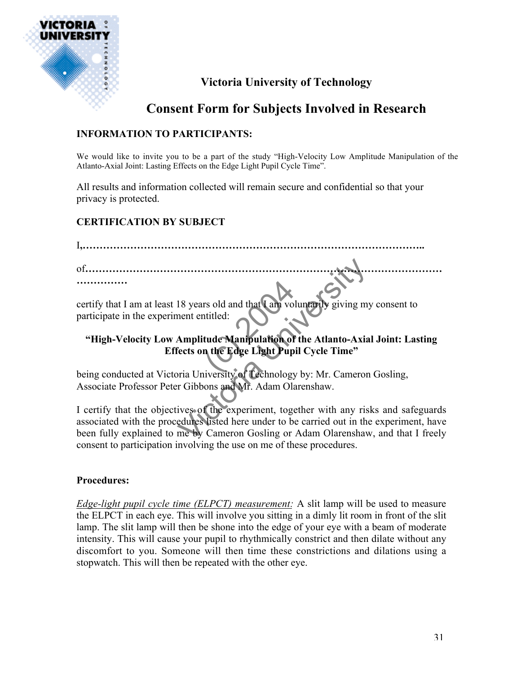

### **Victoria University of Technology**

### **Consent Form for Subjects Involved in Research**

### **INFORMATION TO PARTICIPANTS:**

We would like to invite you to be a part of the study "High-Velocity Low Amplitude Manipulation of the Atlanto-Axial Joint: Lasting Effects on the Edge Light Pupil Cycle Time".

All results and information collected will remain secure and confidential so that your privacy is protected.

### **CERTIFICATION BY SUBJECT**

rs old and that I am voititled:<br>
tude Manipulation of<br>
in the Edge Light Pup 18 years old and that Cam voluntarily giving my<br>
nent entitled:<br>
Amplitude Manipulation of the Atlanto-Axia<br>
fects on the Edge Light Pupil Cycle Time"<br>
oria University of Cechnology by: Mr. Cameron<br>
r Gibbons and Mr. Adam I**,………………………………………………………………………………………..** of**…………………………………………………………………………………………… ……………** certify that I am at least 18 years old and that I am voluntarily giving my consent to participate in the experiment entitled:

### **"High-Velocity Low Amplitude Manipulation of the Atlanto-Axial Joint: Lasting Effects on the Edge Light Pupil Cycle Time"**

being conducted at Victoria University of Technology by: Mr. Cameron Gosling, Associate Professor Peter Gibbons and Mr. Adam Olarenshaw.

I certify that the objectives of the experiment, together with any risks and safeguards associated with the procedures listed here under to be carried out in the experiment, have been fully explained to me by Cameron Gosling or Adam Olarenshaw, and that I freely consent to participation involving the use on me of these procedures.

### **Procedures:**

*Edge-light pupil cycle time (ELPCT) measurement:* A slit lamp will be used to measure the ELPCT in each eye. This will involve you sitting in a dimly lit room in front of the slit lamp. The slit lamp will then be shone into the edge of your eye with a beam of moderate intensity. This will cause your pupil to rhythmically constrict and then dilate without any discomfort to you. Someone will then time these constrictions and dilations using a stopwatch. This will then be repeated with the other eye.